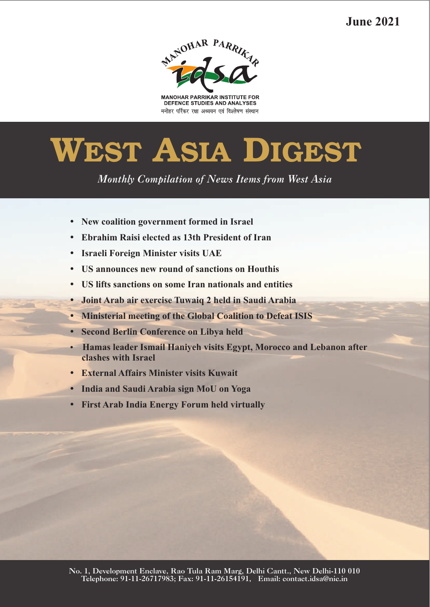**June 2021**



**MANOHAR PARRIKAR INSTITUTE FOR** DEFENCE STUDIES AND ANALYSES मनोहर पर्रिकर रक्षा अध्ययन एवं विश्लेषण संस्थान

# **WEST ASIA DIGEST**

*Monthly Compilation of News Items from West Asia* 

- ??**New coalition government formed in Israel**
- ?**Ebrahim Raisi elected as 13th President of Iran**
- 
- **US announces new round of sanctions on Houthis**
- US lifts sanctions on some Iran nationals and entities
- **Joint Arab air exercise Tuwaiq 2 held in Saudi Arabia**
- ?**Joint Arab air exercise Tuwaiq 2 held in Saudi Arabia** ?**Ministerial meeting of the Global Coalition to Defeat ISIS**
- 
- ?**Second Berlin Conference on Libya held Hamas leader Ismail Haniyeh visits Egypt, Morocco and Lebanon after** ?**clashes with Israel**
- 
- **India and Saudi Arabia sign MoU on Yoga**
- ?**India and Saudi Arabia sign MoU on Yoga First Arab India Energy Forum held virtually**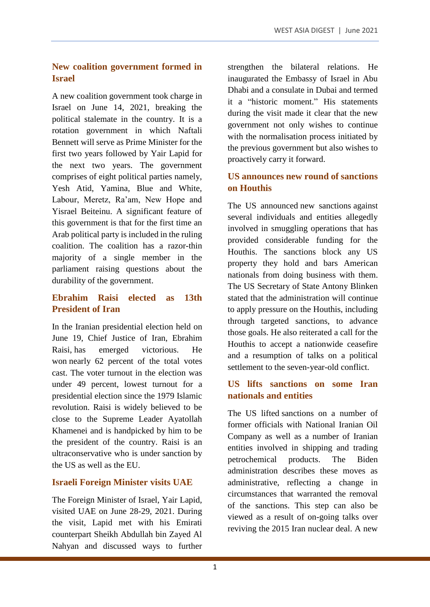#### **New coalition government formed in Israel**

A new coalition government took charge in Israel on June 14, 2021, breaking the political stalemate in the country. It is a rotation government in which Naftali Bennett will serve as Prime Minister for the first two years followed by Yair Lapid for the next two years. The government comprises of eight political parties namely, Yesh Atid, Yamina, Blue and White, Labour, Meretz, Ra'am, New Hope and Yisrael Beiteinu. A significant feature of this government is that for the first time an Arab political party is included in the ruling coalition. The coalition has a razor-thin majority of a single member in the parliament raising questions about the durability of the government.

## **Ebrahim Raisi elected as 13th President of Iran**

In the Iranian presidential election held on June 19, Chief Justice of Iran, Ebrahim Raisi, has emerged victorious. He won nearly 62 percent of the total votes cast. The voter turnout in the election was under 49 percent, lowest turnout for a presidential election since the 1979 Islamic revolution. Raisi is widely believed to be close to the Supreme Leader Ayatollah Khamenei and is handpicked by him to be the president of the country. Raisi is an ultraconservative who is under sanction by the US as well as the EU.

#### **Israeli Foreign Minister visits UAE**

The Foreign Minister of Israel, Yair Lapid, visited UAE on June 28-29, 2021. During the visit, Lapid met with his Emirati counterpart Sheikh Abdullah bin Zayed Al Nahyan and discussed ways to further strengthen the bilateral relations. He inaugurated the Embassy of Israel in Abu Dhabi and a consulate in Dubai and termed it a "historic moment." His statements during the visit made it clear that the new government not only wishes to continue with the normalisation process initiated by the previous government but also wishes to proactively carry it forward.

## **US announces new round of sanctions on Houthis**

The US announced new sanctions against several individuals and entities allegedly involved in smuggling operations that has provided considerable funding for the Houthis. The sanctions block any US property they hold and bars American nationals from doing business with them. The US Secretary of State Antony Blinken stated that the administration will continue to apply pressure on the Houthis, including through targeted sanctions, to advance those goals. He also reiterated a call for the Houthis to accept a nationwide ceasefire and a resumption of talks on a political settlement to the seven-year-old conflict.

### **US lifts sanctions on some Iran nationals and entities**

The US lifted sanctions on a number of former officials with National Iranian Oil Company as well as a number of Iranian entities involved in shipping and trading petrochemical products. The Biden administration describes these moves as administrative, reflecting a change in circumstances that warranted the removal of the sanctions. This step can also be viewed as a result of on-going talks over reviving the 2015 Iran nuclear deal. A new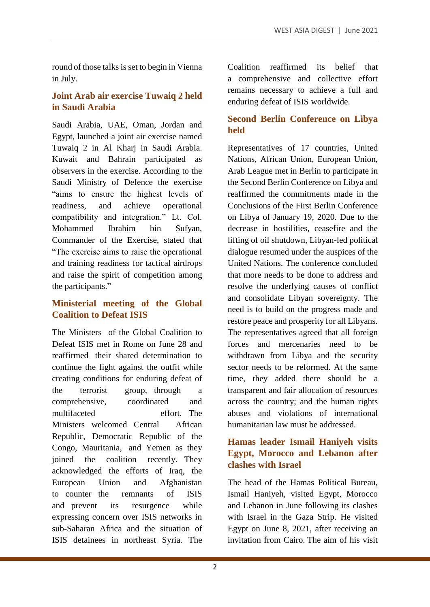round of those talks is set to begin in Vienna in July.

#### **Joint Arab air exercise Tuwaiq 2 held in Saudi Arabia**

Saudi Arabia, UAE, Oman, Jordan and Egypt, launched a joint air exercise named Tuwaiq 2 in Al Kharj in Saudi Arabia. Kuwait and Bahrain participated as observers in the exercise. According to the Saudi Ministry of Defence the exercise "aims to ensure the highest levels of readiness, and achieve operational compatibility and integration." Lt. Col. Mohammed Ibrahim bin Sufyan, Commander of the Exercise, stated that "The exercise aims to raise the operational and training readiness for tactical airdrops and raise the spirit of competition among the participants."

### **Ministerial meeting of the Global Coalition to Defeat ISIS**

The Ministers of the Global Coalition to Defeat ISIS met in Rome on June 28 and reaffirmed their shared determination to continue the fight against the outfit while creating conditions for enduring defeat of the terrorist group, through a comprehensive, coordinated and multifaceted effort. The Ministers welcomed Central African Republic, Democratic Republic of the Congo, Mauritania, and Yemen as they joined the coalition recently. They acknowledged the efforts of Iraq, the European Union and Afghanistan to counter the remnants of ISIS and prevent its resurgence while expressing concern over ISIS networks in sub-Saharan Africa and the situation of ISIS detainees in northeast Syria. The Coalition reaffirmed its belief that a comprehensive and collective effort remains necessary to achieve a full and enduring defeat of ISIS worldwide.

## **Second Berlin Conference on Libya held**

Representatives of 17 countries, United Nations, African Union, European Union, Arab League met in Berlin to participate in the Second Berlin Conference on Libya and reaffirmed the commitments made in the Conclusions of the First Berlin Conference on Libya of January 19, 2020. Due to the decrease in hostilities, ceasefire and the lifting of oil shutdown, Libyan-led political dialogue resumed under the auspices of the United Nations. The conference concluded that more needs to be done to address and resolve the underlying causes of conflict and consolidate Libyan sovereignty. The need is to build on the progress made and restore peace and prosperity for all Libyans. The representatives agreed that all foreign forces and mercenaries need to be withdrawn from Libya and the security sector needs to be reformed. At the same time, they added there should be a transparent and fair allocation of resources across the country; and the human rights abuses and violations of international humanitarian law must be addressed.

#### **Hamas leader Ismail Haniyeh visits Egypt, Morocco and Lebanon after clashes with Israel**

The head of the Hamas Political Bureau, Ismail Haniyeh, visited Egypt, Morocco and Lebanon in June following its clashes with Israel in the Gaza Strip. He visited Egypt on June 8, 2021, after receiving an invitation from Cairo. The aim of his visit